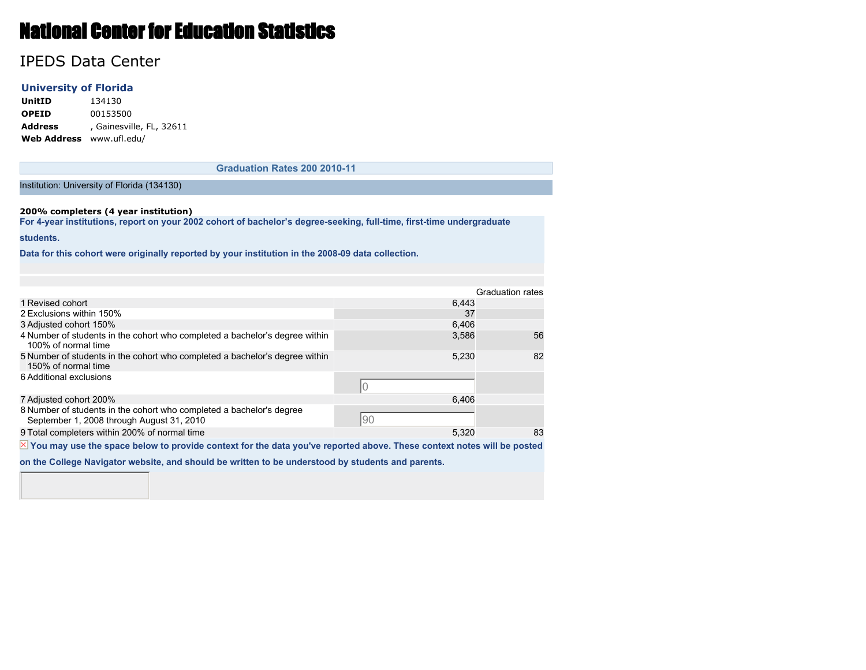# National Center for Education Statistics

# IPEDS Data Center

### **University of Florida**

**UnitID** 134130 **OPEID** 00153500 **Address** , Gainesville, FL, 32611 **Web Address** www.ufl.edu/

**Graduation Rates 200 2010-11**

Institution: University of Florida (134130)

#### **200% completers (4 year institution)**

**For 4-year institutions, report on your 2002 cohort of bachelor's degree-seeking, full-time, first-time undergraduate**

#### **students.**

**Data for this cohort were originally reported by your institution in the 2008-09 data collection.**

|                                                                                                                   |       | <b>Graduation rates</b> |
|-------------------------------------------------------------------------------------------------------------------|-------|-------------------------|
| 1 Revised cohort                                                                                                  | 6.443 |                         |
| 2 Exclusions within 150%                                                                                          | 37    |                         |
| 3 Adjusted cohort 150%                                                                                            | 6,406 |                         |
| 4 Number of students in the cohort who completed a bachelor's degree within<br>100% of normal time                | 3,586 | 56                      |
| 5 Number of students in the cohort who completed a bachelor's degree within<br>150% of normal time                | 5,230 | 82                      |
| 6 Additional exclusions                                                                                           |       |                         |
| 7 Adjusted cohort 200%                                                                                            | 6.406 |                         |
| 8 Number of students in the cohort who completed a bachelor's degree<br>September 1, 2008 through August 31, 2010 | 90    |                         |
| 9 Total completers within 200% of normal time                                                                     | 5,320 | 83                      |
| the contract of the contract of the contract of the contract of the contract of the contract of the contract of   |       |                         |

 $\overline{X}$  You may use the space below to provide context for the data you've reported above. These context notes will be posted

**on the College Navigator website, and should be written to be understood by students and parents.**